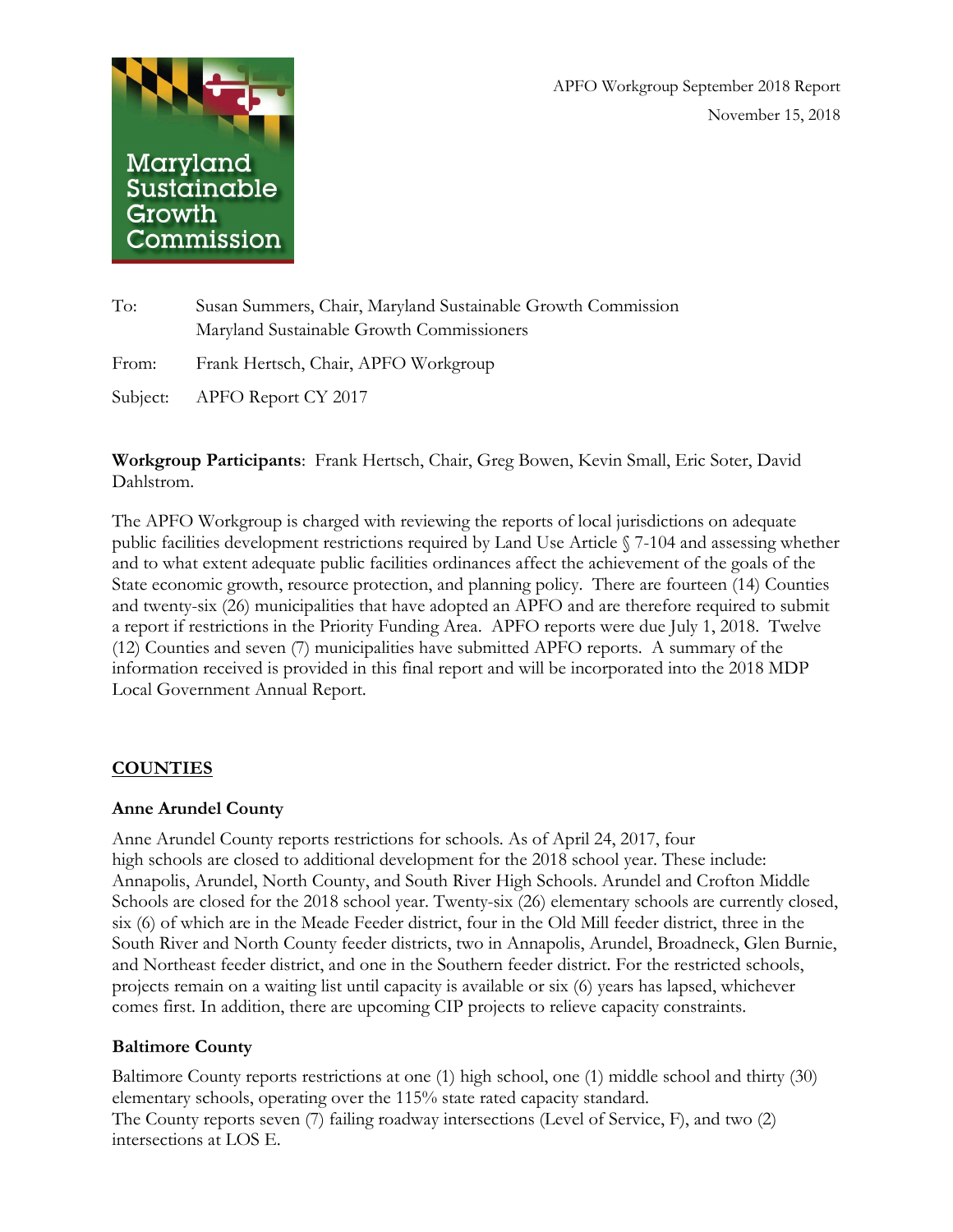



| To:   | Susan Summers, Chair, Maryland Sustainable Growth Commission |
|-------|--------------------------------------------------------------|
|       | Maryland Sustainable Growth Commissioners                    |
| From: | Frank Hertsch, Chair, APFO Workgroup                         |
|       | Subject: APFO Report CY 2017                                 |

**Workgroup Participants**: Frank Hertsch, Chair, Greg Bowen, Kevin Small, Eric Soter, David Dahlstrom.

The APFO Workgroup is charged with reviewing the reports of local jurisdictions on adequate public facilities development restrictions required by Land Use Article § 7-104 and assessing whether and to what extent adequate public facilities ordinances affect the achievement of the goals of the State economic growth, resource protection, and planning policy. There are fourteen (14) Counties and twenty-six (26) municipalities that have adopted an APFO and are therefore required to submit a report if restrictions in the Priority Funding Area. APFO reports were due July 1, 2018. Twelve (12) Counties and seven (7) municipalities have submitted APFO reports. A summary of the information received is provided in this final report and will be incorporated into the 2018 MDP Local Government Annual Report.

### **COUNTIES**

### **Anne Arundel County**

Anne Arundel County reports restrictions for schools. As of April 24, 2017, four high schools are closed to additional development for the 2018 school year. These include: Annapolis, Arundel, North County, and South River High Schools. Arundel and Crofton Middle Schools are closed for the 2018 school year. Twenty-six (26) elementary schools are currently closed, six (6) of which are in the Meade Feeder district, four in the Old Mill feeder district, three in the South River and North County feeder districts, two in Annapolis, Arundel, Broadneck, Glen Burnie, and Northeast feeder district, and one in the Southern feeder district. For the restricted schools, projects remain on a waiting list until capacity is available or six (6) years has lapsed, whichever comes first. In addition, there are upcoming CIP projects to relieve capacity constraints.

### **Baltimore County**

Baltimore County reports restrictions at one (1) high school, one (1) middle school and thirty (30) elementary schools, operating over the 115% state rated capacity standard. The County reports seven (7) failing roadway intersections (Level of Service, F), and two (2) intersections at LOS E.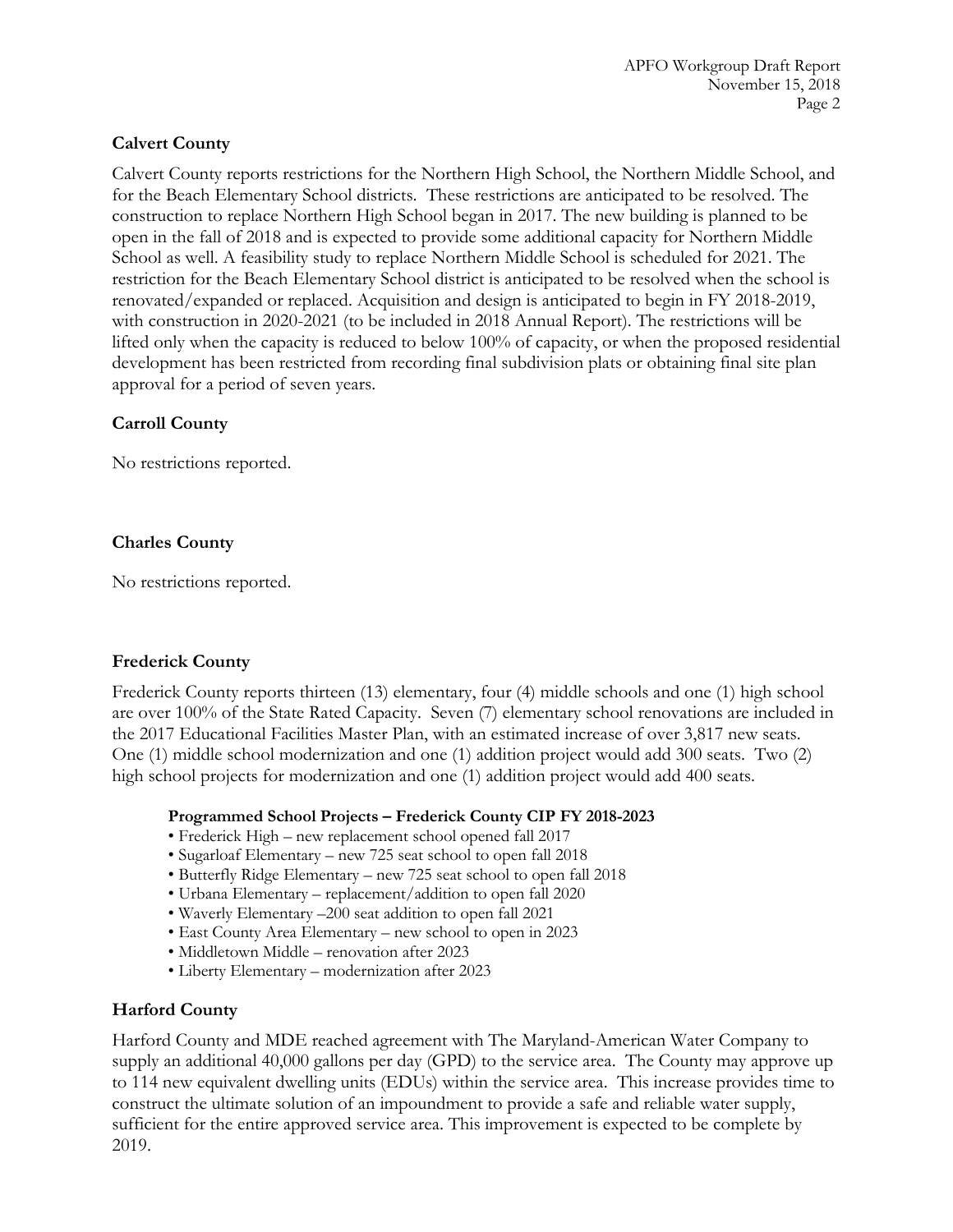# **Calvert County**

Calvert County reports restrictions for the Northern High School, the Northern Middle School, and for the Beach Elementary School districts. These restrictions are anticipated to be resolved. The construction to replace Northern High School began in 2017. The new building is planned to be open in the fall of 2018 and is expected to provide some additional capacity for Northern Middle School as well. A feasibility study to replace Northern Middle School is scheduled for 2021. The restriction for the Beach Elementary School district is anticipated to be resolved when the school is renovated/expanded or replaced. Acquisition and design is anticipated to begin in FY 2018-2019, with construction in 2020-2021 (to be included in 2018 Annual Report). The restrictions will be lifted only when the capacity is reduced to below 100% of capacity, or when the proposed residential development has been restricted from recording final subdivision plats or obtaining final site plan approval for a period of seven years.

# **Carroll County**

No restrictions reported.

# **Charles County**

No restrictions reported.

# **Frederick County**

Frederick County reports thirteen (13) elementary, four (4) middle schools and one (1) high school are over 100% of the State Rated Capacity. Seven (7) elementary school renovations are included in the 2017 Educational Facilities Master Plan, with an estimated increase of over 3,817 new seats. One (1) middle school modernization and one (1) addition project would add 300 seats. Two (2) high school projects for modernization and one (1) addition project would add 400 seats.

### **Programmed School Projects – Frederick County CIP FY 2018-2023**

- Frederick High new replacement school opened fall 2017
- Sugarloaf Elementary new 725 seat school to open fall 2018
- Butterfly Ridge Elementary new 725 seat school to open fall 2018
- Urbana Elementary replacement/addition to open fall 2020
- Waverly Elementary –200 seat addition to open fall 2021
- East County Area Elementary new school to open in 2023
- Middletown Middle renovation after 2023
- Liberty Elementary modernization after 2023

# **Harford County**

Harford County and MDE reached agreement with The Maryland-American Water Company to supply an additional 40,000 gallons per day (GPD) to the service area. The County may approve up to 114 new equivalent dwelling units (EDUs) within the service area. This increase provides time to construct the ultimate solution of an impoundment to provide a safe and reliable water supply, sufficient for the entire approved service area. This improvement is expected to be complete by 2019.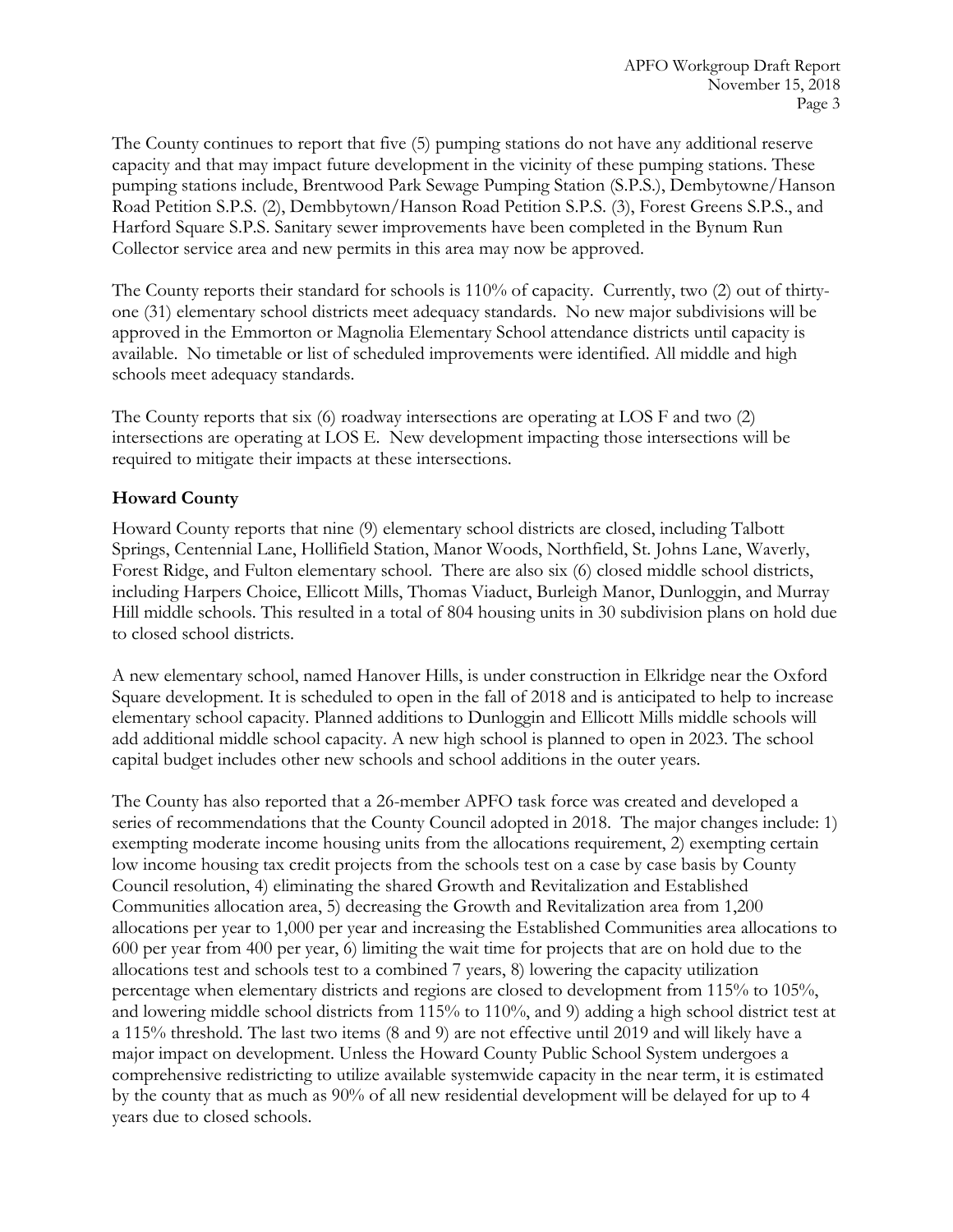The County continues to report that five (5) pumping stations do not have any additional reserve capacity and that may impact future development in the vicinity of these pumping stations. These pumping stations include, Brentwood Park Sewage Pumping Station (S.P.S.), Dembytowne/Hanson Road Petition S.P.S. (2), Dembbytown/Hanson Road Petition S.P.S. (3), Forest Greens S.P.S., and Harford Square S.P.S. Sanitary sewer improvements have been completed in the Bynum Run Collector service area and new permits in this area may now be approved.

The County reports their standard for schools is 110% of capacity. Currently, two (2) out of thirtyone (31) elementary school districts meet adequacy standards. No new major subdivisions will be approved in the Emmorton or Magnolia Elementary School attendance districts until capacity is available. No timetable or list of scheduled improvements were identified. All middle and high schools meet adequacy standards.

The County reports that six (6) roadway intersections are operating at LOS F and two (2) intersections are operating at LOS E. New development impacting those intersections will be required to mitigate their impacts at these intersections.

# **Howard County**

Howard County reports that nine (9) elementary school districts are closed, including Talbott Springs, Centennial Lane, Hollifield Station, Manor Woods, Northfield, St. Johns Lane, Waverly, Forest Ridge, and Fulton elementary school. There are also six (6) closed middle school districts, including Harpers Choice, Ellicott Mills, Thomas Viaduct, Burleigh Manor, Dunloggin, and Murray Hill middle schools. This resulted in a total of 804 housing units in 30 subdivision plans on hold due to closed school districts.

A new elementary school, named Hanover Hills, is under construction in Elkridge near the Oxford Square development. It is scheduled to open in the fall of 2018 and is anticipated to help to increase elementary school capacity. Planned additions to Dunloggin and Ellicott Mills middle schools will add additional middle school capacity. A new high school is planned to open in 2023. The school capital budget includes other new schools and school additions in the outer years.

The County has also reported that a 26-member APFO task force was created and developed a series of recommendations that the County Council adopted in 2018. The major changes include: 1) exempting moderate income housing units from the allocations requirement, 2) exempting certain low income housing tax credit projects from the schools test on a case by case basis by County Council resolution, 4) eliminating the shared Growth and Revitalization and Established Communities allocation area, 5) decreasing the Growth and Revitalization area from 1,200 allocations per year to 1,000 per year and increasing the Established Communities area allocations to 600 per year from 400 per year, 6) limiting the wait time for projects that are on hold due to the allocations test and schools test to a combined 7 years, 8) lowering the capacity utilization percentage when elementary districts and regions are closed to development from 115% to 105%, and lowering middle school districts from 115% to 110%, and 9) adding a high school district test at a 115% threshold. The last two items (8 and 9) are not effective until 2019 and will likely have a major impact on development. Unless the Howard County Public School System undergoes a comprehensive redistricting to utilize available systemwide capacity in the near term, it is estimated by the county that as much as 90% of all new residential development will be delayed for up to 4 years due to closed schools.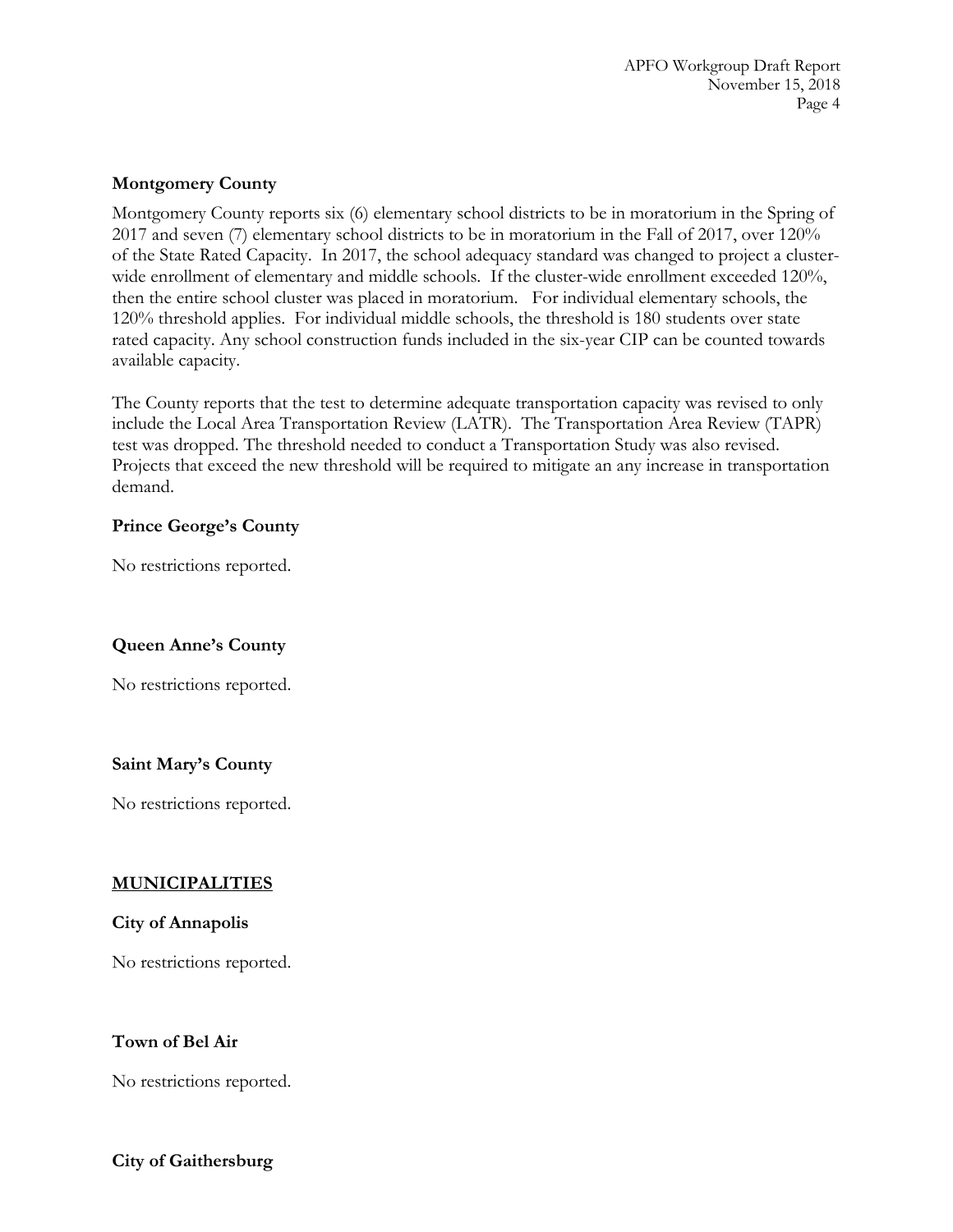## **Montgomery County**

Montgomery County reports six (6) elementary school districts to be in moratorium in the Spring of 2017 and seven (7) elementary school districts to be in moratorium in the Fall of 2017, over 120% of the State Rated Capacity. In 2017, the school adequacy standard was changed to project a clusterwide enrollment of elementary and middle schools. If the cluster-wide enrollment exceeded 120%, then the entire school cluster was placed in moratorium. For individual elementary schools, the 120% threshold applies. For individual middle schools, the threshold is 180 students over state rated capacity. Any school construction funds included in the six-year CIP can be counted towards available capacity.

The County reports that the test to determine adequate transportation capacity was revised to only include the Local Area Transportation Review (LATR). The Transportation Area Review (TAPR) test was dropped. The threshold needed to conduct a Transportation Study was also revised. Projects that exceed the new threshold will be required to mitigate an any increase in transportation demand.

## **Prince George's County**

No restrictions reported.

# **Queen Anne's County**

No restrictions reported.

# **Saint Mary's County**

No restrictions reported.

### **MUNICIPALITIES**

### **City of Annapolis**

No restrictions reported.

### **Town of Bel Air**

No restrictions reported.

### **City of Gaithersburg**